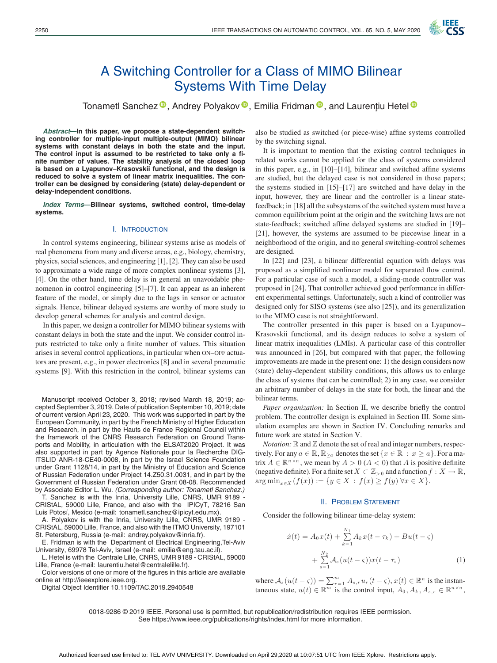

# A Switching Controller for a Class of MIMO Bilinear Systems With Time Delay

Tonametl Sanchez<sup>®</sup>[,](https://orcid.org/0000-0002-8773-9494) Andrey Polyakov<sup>®</sup>, Emilia Fridman<sup>®</sup>, and Laurențiu Hetel<sup>®</sup>

*Abstract***—In this paper, we propose a state-dependent switching controller for multiple-input multiple-output (MIMO) bilinear systems with constant delays in both the state and the input. The control input is assumed to be restricted to take only a finite number of values. The stability analysis of the closed loop is based on a Lyapunov–Krasovskii functional, and the design is reduced to solve a system of linear matrix inequalities. The controller can be designed by considering (state) delay-dependent or delay-independent conditions.**

*Index Terms***—Bilinear systems, switched control, time-delay systems.**

## I. INTRODUCTION

In control systems engineering, bilinear systems arise as models of real phenomena from many and diverse areas, e.g., biology, chemistry, physics, social sciences, and engineering [1], [2]. They can also be used to approximate a wide range of more complex nonlinear systems [3], [4]. On the other hand, time delay is in general an unavoidable phenomenon in control engineering [5]–[7]. It can appear as an inherent feature of the model, or simply due to the lags in sensor or actuator signals. Hence, bilinear delayed systems are worthy of more study to develop general schemes for analysis and control design.

In this paper, we design a controller for MIMO bilinear systems with constant delays in both the state and the input. We consider control inputs restricted to take only a finite number of values. This situation arises in several control applications, in particular when ON–OFF actuators are present, e.g., in power electronics [8] and in several pneumatic systems [9]. With this restriction in the control, bilinear systems can

Manuscript received October 3, 2018; revised March 18, 2019; accepted September 3, 2019. Date of publication September 10, 2019; date of current version April 23, 2020. This work was supported in part by the European Community, in part by the French Ministry of Higher Education and Research, in part by the Hauts de France Regional Council within the framework of the CNRS Research Federation on Ground Transports and Mobility, in articulation with the ELSAT2020 Project. It was also supported in part by Agence Nationale pour la Recherche DIG-ITSLID ANR-18-CE40-0008, in part by the Israel Science Foundation under Grant 1128/14, in part by the Ministry of Education and Science of Russian Federation under Project 14.Z50.31.0031, and in part by the Government of Russian Federation under Grant 08-08. Recommended by Associate Editor L. Wu. *(Corresponding author: Tonametl Sanchez.)*

T. Sanchez is with the Inria, University Lille, CNRS, UMR 9189 - CRIStAL, 59000 Lille, France, and also with the IPICyT, 78216 San Luis Potosí, Mexico (e-mail: tonametl.sanchez@ipicyt.edu.mx).

A. Polyakov is with the Inria, University Lille, CNRS, UMR 9189 - CRIStAL, 59000 Lille, France, and also with the ITMO University, 197101 St. Petersburg, Russia (e-mail: andrey.polyakov@inria.fr).

E. Fridman is with the Department of Electrical Engineering,Tel-Aviv University, 69978 Tel-Aviv, Israel (e-mail: emilia@eng.tau.ac.il).

L. Hetel is with the Centrale Lille, CNRS, UMR 9189 - CRIStAL, 59000 Lille, France (e-mail: laurentiu.hetel@centralelille.fr).

Color versions of one or more of the figures in this article are available online at http://ieeexplore.ieee.org.

Digital Object Identifier 10.1109/TAC.2019.2940548

also be studied as switched (or piece-wise) affine systems controlled by the switching signal.

It is important to mention that the existing control techniques in related works cannot be applied for the class of systems considered in this paper, e.g., in [10]–[14], bilinear and switched affine systems are studied, but the delayed case is not considered in those papers; the systems studied in [15]–[17] are switched and have delay in the input, however, they are linear and the controller is a linear statefeedback; in [18] all the subsystems of the switched system must have a common equilibrium point at the origin and the switching laws are not state-feedback; switched affine delayed systems are studied in [19]– [21], however, the systems are assumed to be piecewise linear in a neighborhood of the origin, and no general switching-control schemes are designed.

In [22] and [23], a bilinear differential equation with delays was proposed as a simplified nonlinear model for separated flow control. For a particular case of such a model, a sliding-mode controller was proposed in [24]. That controller achieved good performance in different experimental settings. Unfortunately, such a kind of controller was designed only for SISO systems (see also [25]), and its generalization to the MIMO case is not straightforward.

The controller presented in this paper is based on a Lyapunov– Krasovskii functional, and its design reduces to solve a system of linear matrix inequalities (LMIs). A particular case of this controller was announced in [26], but compared with that paper, the following improvements are made in the present one: 1) the design considers now (state) delay-dependent stability conditions, this allows us to enlarge the class of systems that can be controlled; 2) in any case, we consider an arbitrary number of delays in the state for both, the linear and the bilinear terms.

*Paper organization:* In Section II, we describe briefly the control problem. The controller design is explained in Section III. Some simulation examples are shown in Section IV. Concluding remarks and future work are stated in Section V.

*Notation:*  $\mathbb R$  and  $\mathbb Z$  denote the set of real and integer numbers, respectively. For any  $a \in \mathbb{R}$ ,  $\mathbb{R}_{\geq a}$  denotes the set  $\{x \in \mathbb{R} : x \geq a\}$ . For a matrix  $A \in \mathbb{R}^{n \times n}$ , we mean by  $A > 0$  ( $A < 0$ ) that A is positive definite (negative definite). For a finite set  $X \subset \mathbb{Z}_{\geq 0}$  and a function  $f : X \to \mathbb{R}$ ,  $\arg \min_{x \in X} (f(x)) := \{ y \in X : f(x) \ge f(y) \,\forall x \in X \}.$ 

## II. PROBLEM STATEMENT

Consider the following bilinear time-delay system:

$$
\dot{x}(t) = A_0 x(t) + \sum_{k=1}^{N_1} A_k x(t - \tau_k) + Bu(t - \zeta)
$$

$$
+ \sum_{s=1}^{N_2} A_s (u(t - \zeta)) x(t - \bar{\tau}_s)
$$
(1)

where  $A_s(u(t - \varsigma)) = \sum_{r=1}^m A_{s,r} u_r(t - \varsigma), x(t) \in \mathbb{R}^n$  is the instantaneous state,  $u(t) \in \mathbb{R}^m$  is the control input,  $A_0, A_k, A_{s,r} \in \mathbb{R}^{n \times n}$ ,

0018-9286 © 2019 IEEE. Personal use is permitted, but republication/redistribution requires IEEE permission. See https://www.ieee.org/publications/rights/index.html for more information.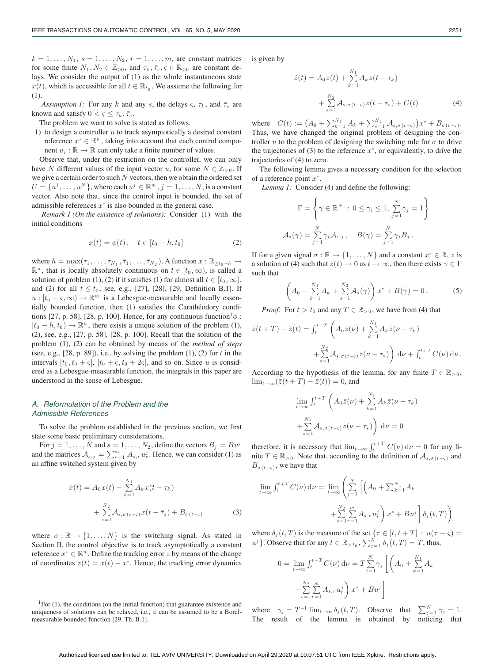$k = 1, \ldots, N_1, s = 1, \ldots, N_2, r = 1, \ldots, m$ , are constant matrices for some finite  $N_1, N_2 \in \mathbb{Z}_{\geq 0}$ , and  $\tau_k, \bar{\tau}_s, \varsigma \in \mathbb{R}_{\geq 0}$  are constant delays. We consider the output of (1) as the whole instantaneous state  $x(t)$ , which is accessible for all  $t \in \mathbb{R}_{t_0}$ . We assume the following for (1).

*Assumption 1:* For any k and any s, the delays  $\varsigma$ ,  $\tau_k$ , and  $\bar{\tau}_s$  are known and satisfy  $0 < \varsigma \leq \tau_k, \overline{\tau}_s$ .

The problem we want to solve is stated as follows.

1) to design a controller  $u$  to track asymptotically a desired constant reference  $x^* \in \mathbb{R}^n$ , taking into account that each control component  $u_i : \mathbb{R} \to \mathbb{R}$  can only take a finite number of values.

Observe that, under the restriction on the controller, we can only have N different values of the input vector u, for some  $N \in \mathbb{Z}_{>0}$ . If we give a certain order to such  $\mathcal N$  vectors, then we obtain the ordered set  $U = \{u^1, \ldots, u^N\}$ , where each  $u^j \in \mathbb{R}^m$ ,  $j = 1, \ldots, N$ , is a constant vector. Also note that, since the control input is bounded, the set of admissible references  $x^*$  is also bounded in the general case.

*Remark 1 (On the existence of solutions):* Consider (1) with the initial conditions

$$
x(t) = \phi(t), \quad t \in [t_0 - h, t_0]
$$
 (2)

where  $h = \max(\tau_1, \ldots, \tau_{N_1}, \bar{\tau}_1, \ldots, \bar{\tau}_{N_2})$ . A function  $x : \mathbb{R}_{\geq t_0 - h} \to$  $\mathbb{R}^n$ , that is locally absolutely continuous on  $t \in [t_0, \infty)$ , is called a solution of problem (1), (2) if it satisfies (1) for almost all  $t \in [t_0, \infty)$ , and (2) for all  $t \le t_0$ , see, e.g., [27], [28], [29, Definition B.1]. If  $u : [t_0 - \varsigma, \infty) \to \mathbb{R}^m$  is a Lebesgue-measurable and locally essentially bounded function, then (1) satisfies the Carathéodory conditions [27, p. 58], [28, p. 100]. Hence, for any continuous function<sup>1</sup> $\phi$ :  $[t_0 - h, t_0] \rightarrow \mathbb{R}^n$ , there exists a unique solution of the problem (1), (2), see, e.g., [27, p. 58], [28, p. 100]. Recall that the solution of the problem (1), (2) can be obtained by means of the *method of steps* (see, e.g.,  $[28, p. 89]$ ), i.e., by solving the problem  $(1)$ ,  $(2)$  for t in the intervals  $[t_0, t_0 + \varsigma]$ ,  $[t_0 + \varsigma, t_0 + 2\varsigma]$ , and so on. Since u is considered as a Lebesgue-measurable function, the integrals in this paper are understood in the sense of Lebesgue.

## *A. Reformulation of the Problem and the Admissible References*

To solve the problem established in the previous section, we first state some basic preliminary considerations.

For  $j = 1, \ldots, N$  and  $s = 1, \ldots, N_2$ , define the vectors  $B_j = B u^j$ and the matrices  $A_{s,j} = \sum_{r=1}^{m} A_{s,r} u_r^j$ . Hence, we can consider (1) as an affine switched system given by

$$
\dot{x}(t) = A_0 x(t) + \sum_{k=1}^{N_1} A_k x(t - \tau_k) \n+ \sum_{s=1}^{N_2} A_{s,\sigma(t-\varsigma)} x(t - \bar{\tau}_s) + B_{\sigma(t-\varsigma)}
$$
\n(3)

where  $\sigma : \mathbb{R} \to \{1, \ldots, N\}$  is the switching signal. As stated in Section II, the control objective is to track asymptotically a constant reference  $x^*$  ∈  $\mathbb{R}^n$ . Define the tracking error z by means of the change of coordinates  $z(t) = x(t) - x^*$ . Hence, the tracking error dynamics

is given by

$$
\dot{z}(t) = A_0 z(t) + \sum_{k=1}^{N_1} A_k z(t - \tau_k)
$$

$$
+ \sum_{s=1}^{N_2} A_{s, \sigma(t - \varsigma)} z(t - \bar{\tau}_s) + C(t) \tag{4}
$$

where  $C(t) := (A_0 + \sum_{k=1}^{N_1} A_k + \sum_{s=1}^{N_2} A_{s,\sigma(t-s)})x^* + B_{\sigma(t-s)}.$ Thus, we have changed the original problem of designing the controller u to the problem of designing the switching rule for  $\sigma$  to drive the trajectories of (3) to the reference  $x^*$ , or equivalently, to drive the trajectories of (4) to zero.

The following lemma gives a necessary condition for the selection of a reference point  $x^*$ .

*Lemma 1:* Consider (4) and define the following:

$$
\Gamma = \left\{ \gamma \in \mathbb{R}^N \; : \; 0 \le \gamma_i \le 1, \sum_{j=1}^N \gamma_j = 1 \right\}
$$

$$
\bar{\mathcal{A}}_s(\gamma) = \sum_{j=1}^N \gamma_j \mathcal{A}_{s,j}, \quad \bar{B}(\gamma) = \sum_{j=1}^N \gamma_j B_j \; .
$$

If for a given signal  $\sigma : \mathbb{R} \to \{1, \ldots, N\}$  and a constant  $x^* \in \mathbb{R}, \bar{z}$  is a solution of (4) such that  $\bar{z}(t) \to 0$  as  $t \to \infty$ , then there exists  $\gamma \in \Gamma$ such that

$$
\left(A_0 + \sum_{k=1}^{N_1} A_k + \sum_{s=1}^{N_2} \bar{A}_s(\gamma)\right) x^* + \bar{B}(\gamma) = 0.
$$
 (5)

*Proof:* For  $t > t_0$  and any  $T \in \mathbb{R}_{>0}$ , we have from (4) that

$$
\bar{z}(t+T) - \bar{z}(t) = \int_{t}^{t+T} \left( A_0 \bar{z}(\nu) + \sum_{k=1}^{N_1} A_k \bar{z}(\nu - \tau_k) + \sum_{s=1}^{N_2} A_{s,\sigma(t-\varsigma)} \bar{z}(\nu - \bar{\tau}_s) \right) d\nu + \int_{t}^{t+T} C(\nu) d\nu.
$$

According to the hypothesis of the lemma, for any finite  $T \in \mathbb{R}_{>0}$ ,  $\lim_{t\to\infty}(\bar{z}(t+T)-\bar{z}(t))=0$ , and

$$
\lim_{t \to \infty} \int_{t}^{t+T} \left( A_0 \,\overline{z}(\nu) + \sum_{k=1}^{N_1} A_k \,\overline{z}(\nu - \tau_k) \right) + \sum_{s=1}^{N_2} \mathcal{A}_{s, \sigma(t-s)} \,\overline{z}(\nu - \overline{\tau}_s) \right) d\nu = 0
$$

therefore, it is necessary that  $\lim_{t\to\infty} \int_{t}^{t+T} C(\nu) d\nu = 0$  for any finite  $T \in \mathbb{R}_{>0}$ . Note that, according to the definition of  $\mathcal{A}_{s,\sigma(t-<)}$  and  $B_{\sigma(t-\varsigma)}$ , we have that

$$
\lim_{t \to \infty} \int_{t}^{t+T} C(\nu) d\nu = \lim_{t \to \infty} \left( \sum_{j=1}^{N} \left[ \left( A_0 + \sum_{k=1}^{N_1} A_k \right) + \sum_{s=1}^{N_2} \sum_{r=1}^{m} A_{s,r} u_r^j \right) x^* + B u^j \right] \delta_j(t,T) \right)
$$

where  $\delta_j(t,T)$  is the measure of the set  $\{\tau \in [t, t+T] : u(\tau - \zeta) =$  $u^j$  }. Observe that for any  $t \in \mathbb{R}_{\geq t_0}$ ,  $\sum_{j=1}^N \delta_j(t,T) = T$ , thus,

$$
0 = \lim_{t \to \infty} \int_{t}^{t+T} C(\nu) d\nu = T \sum_{j=1}^{N} \gamma_{j} \left[ \left( A_{0} + \sum_{k=1}^{N_{1}} A_{k} + \sum_{s=1}^{N_{2}} \sum_{r=1}^{m} A_{s,r} u_{r}^{j} \right) x^{*} + B u^{j} \right]
$$

where  $\gamma_j = T^{-1} \lim_{t \to \infty} \delta_j(t, T)$ . Observe that  $\sum_{j=1}^N \gamma_j = 1$ . The result of the lemma is obtained by noticing that

<sup>&</sup>lt;sup>1</sup>For  $(1)$ , the conditions (on the initial function) that guarantee existence and uniqueness of solutions can be relaxed, i.e.,  $\phi$  can be assumed to be a Borelmeasurable bounded function [29, Th. B.1].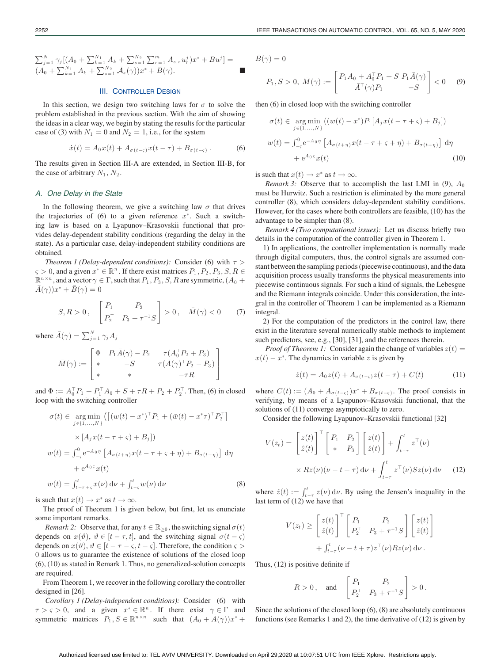$\sum_{j=1}^N \gamma_j \bigl[ (A_0 + \sum_{k=1}^{N_1} A_k + \sum_{s=1}^{N_2} \sum_{r=1}^m A_{s,r} u^j_r ) x^* + B u^j \bigr] =$  $(A_0 + \sum_{k=1}^{N_1} A_k + \sum_{s=1}^{N_2} \bar{A}_s(\gamma))x^* + \bar{B}(\gamma).$ 

# III. CONTROLLER DESIGN

In this section, we design two switching laws for  $\sigma$  to solve the problem established in the previous section. With the aim of showing the ideas in a clear way, we begin by stating the results for the particular case of (3) with  $N_1 = 0$  and  $N_2 = 1$ , i.e., for the system

$$
\dot{x}(t) = A_0 x(t) + A_{\sigma(t-\varsigma)} x(t-\tau) + B_{\sigma(t-\varsigma)}.
$$
 (6)

The results given in Section III-A are extended, in Section III-B, for the case of arbitrary  $N_1$ ,  $N_2$ .

## *A. One Delay in the State*

In the following theorem, we give a switching law  $\sigma$  that drives the trajectories of (6) to a given reference  $x^*$ . Such a switching law is based on a Lyapunov–Krasovskii functional that provides delay-dependent stability conditions (regarding the delay in the state). As a particular case, delay-independent stability conditions are obtained.

*Theorem 1 (Delay-dependent conditions):* Consider (6) with  $\tau$  >  $\varsigma > 0$ , and a given  $x^* \in \mathbb{R}^n$ . If there exist matrices  $P_1, P_2, P_3, S, R \in$  $\mathbb{R}^{n \times n}$ , and a vector  $\gamma \in \Gamma$ , such that  $P_1, P_3, S, R$  are symmetric,  $(A_0 +$  $\bar{A}(\gamma)x^* + \bar{B}(\gamma)=0$ 

$$
S, R > 0, \quad \begin{bmatrix} P_1 & P_2 \\ P_2^\top & P_3 + \tau^{-1} S \end{bmatrix} > 0, \quad \bar{M}(\gamma) < 0 \tag{7}
$$

where  $\bar{A}(\gamma) = \sum_{j=1}^{N} \gamma_j A_j$ 

$$
\bar{M}(\gamma) := \begin{bmatrix} \Phi & P_1 \bar{A}(\gamma) - P_2 & \tau(A_0^\top P_2 + P_3) \\ * & -S & \tau(\bar{A}(\gamma)^\top P_2 - P_3) \\ * & * & -\tau R \end{bmatrix}
$$

and  $\Phi := A_0^{\top} P_1 + P_1^{\top} A_0 + S + \tau R + P_2 + P_2^{\top}$ . Then, (6) in closed loop with the switching controller

$$
\sigma(t) \in \underset{j \in \{1,\ldots,N\}}{\arg \min} \left( \left[ (w(t) - x^*)^\top P_1 + (\bar{w}(t) - x^*\tau)^\top P_2^\top \right] \times \left[ A_j x(t - \tau + \varsigma) + B_j \right] \right)
$$
  

$$
\times [A_j x(t - \tau + \varsigma) + B_j] \right)
$$
  

$$
w(t) = \int_{-\varsigma}^0 e^{-A_0 \eta} \left[ A_{\sigma(t+\eta)} x(t - \tau + \varsigma + \eta) + B_{\sigma(t+\eta)} \right] d\eta
$$
  

$$
+ e^{A_0 \varsigma} x(t)
$$
  

$$
\bar{w}(t) = \int_{t-\tau+\varsigma}^t x(\nu) d\nu + \int_{t-\varsigma}^t w(\nu) d\nu
$$
 (8)

is such that  $x(t) \rightarrow x^*$  as  $t \rightarrow \infty$ .

The proof of Theorem 1 is given below, but first, let us enunciate some important remarks.

*Remark 2:* Observe that, for any  $t \in \mathbb{R}_{\geq 0}$ , the switching signal  $\sigma(t)$ depends on  $x(\vartheta)$ ,  $\vartheta \in [t - \tau, t]$ , and the switching signal  $\sigma(t - \zeta)$ depends on  $x(\vartheta)$ ,  $\vartheta \in [t - \tau - \varsigma, t - \varsigma]$ . Therefore, the condition  $\varsigma$ 0 allows us to guarantee the existence of solutions of the closed loop (6), (10) as stated in Remark 1. Thus, no generalized-solution concepts are required.

From Theorem 1, we recover in the following corollary the controller designed in [26].

*Corollary 1 (Delay-independent conditions):* Consider (6) with  $\tau > \varsigma > 0$ , and a given  $x^* \in \mathbb{R}^n$ . If there exist  $\gamma \in \Gamma$  and symmetric matrices  $P_1, S \in \mathbb{R}^{n \times n}$  such that  $(A_0 + \overline{A}(\gamma))x^*$  +

 $\bar{B}(\gamma)=0$ 

$$
P_1, S > 0, \ \bar{M}(\gamma) := \begin{bmatrix} P_1 A_0 + A_0^\top P_1 + S \ P_1 \bar{A}(\gamma) \\ \bar{A}^\top (\gamma) P_1 & -S \end{bmatrix} < 0 \tag{9}
$$

then (6) in closed loop with the switching controller

$$
\sigma(t) \in \underset{j \in \{1, ..., N\}}{\arg \min} \left( (w(t) - x^*) P_1[A_j x(t - \tau + \varsigma) + B_j] \right)
$$
  

$$
w(t) = \int_{-\varsigma}^{0} e^{-A_0 \eta} \left[ A_{\sigma(t + \eta)} x(t - \tau + \varsigma + \eta) + B_{\sigma(t + \eta)} \right] d\eta
$$
  

$$
+ e^{A_0 \varsigma} x(t) \tag{10}
$$

is such that  $x(t) \rightarrow x^*$  as  $t \rightarrow \infty$ .

*Remark 3:* Observe that to accomplish the last LMI in (9),  $A_0$ must be Hurwitz. Such a restriction is eliminated by the more general controller (8), which considers delay-dependent stability conditions. However, for the cases where both controllers are feasible, (10) has the advantage to be simpler than (8).

*Remark 4 (Two computational issues):* Let us discuss briefly two details in the computation of the controller given in Theorem 1.

1) In applications, the controller implementation is normally made through digital computers, thus, the control signals are assumed constant between the sampling periods (piecewise continuous), and the data acquisition process usually transforms the physical measurements into piecewise continuous signals. For such a kind of signals, the Lebesgue and the Riemann integrals coincide. Under this consideration, the integral in the controller of Theorem 1 can be implemented as a Riemann integral.

2) For the computation of the predictors in the control law, there exist in the literature several numerically stable methods to implement such predictors, see, e.g., [30], [31], and the references therein.

*Proof of Theorem 1:* Consider again the change of variables  $z(t)$  =  $x(t) - x^*$ . The dynamics in variable z is given by

$$
\dot{z}(t) = A_0 z(t) + A_{\sigma(t-\varsigma)} z(t-\tau) + C(t) \tag{11}
$$

where  $C(t) := (A_0 + A_{\sigma(t-\varsigma)})x^* + B_{\sigma(t-\varsigma)}$ . The proof consists in verifying, by means of a Lyapunov–Krasovskii functional, that the solutions of (11) converge asymptotically to zero.

Consider the following Lyapunov–Krasovskii functional [32]

$$
V(z_t) = \begin{bmatrix} z(t) \\ \hat{z}(t) \end{bmatrix}^\top \begin{bmatrix} P_1 & P_2 \\ * & P_3 \end{bmatrix} \begin{bmatrix} z(t) \\ \hat{z}(t) \end{bmatrix} + \int_{t-\tau}^t z^\top(\nu) \\ \times Rz(\nu)(\nu - t + \tau) d\nu + \int_{t-\tau}^t z^\top(\nu) Sz(\nu) d\nu \tag{12}
$$

where  $\hat{z}(t) := \int_{t-\tau}^{t} z(\nu) d\nu$ . By using the Jensen's inequality in the last term of (12) we have that

$$
V(z_t) \geq \begin{bmatrix} z(t) \\ \hat{z}(t) \end{bmatrix}^\top \begin{bmatrix} P_1 & P_2 \\ P_2^\top & P_3 + \tau^{-1}S \end{bmatrix} \begin{bmatrix} z(t) \\ \hat{z}(t) \end{bmatrix} + \int_{t-\tau}^t (\nu - t + \tau) z^\top(\nu) Rz(\nu) d\nu.
$$

Thus, (12) is positive definite if

$$
R > 0
$$
, and  $\begin{bmatrix} P_1 & P_2 \\ P_2^{\top} & P_3 + \tau^{-1} S \end{bmatrix} > 0$ .

Since the solutions of the closed loop (6), (8) are absolutely continuous functions (see Remarks 1 and 2), the time derivative of (12) is given by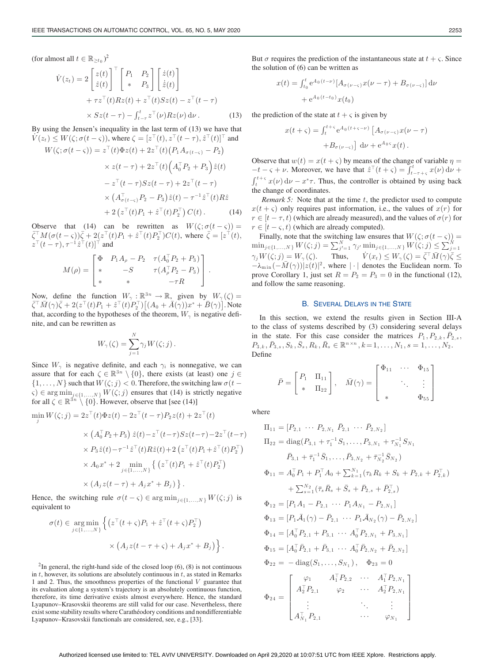(for almost all  $t \in \mathbb{R}_{\geq t_0}$ )<sup>2</sup>

$$
\dot{V}(z_t) = 2 \begin{bmatrix} z(t) \\ \hat{z}(t) \end{bmatrix}^\top \begin{bmatrix} P_1 & P_2 \\ * & P_3 \end{bmatrix} \begin{bmatrix} \dot{z}(t) \\ \dot{z}(t) \end{bmatrix} + \tau z^\top(t) R z(t) + z^\top(t) S z(t) - z^\top(t - \tau) \times S z(t - \tau) - \int_{t-\tau}^t z^\top(\nu) R z(\nu) d\nu.
$$
\n(13)

By using the Jensen's inequality in the last term of (13) we have that  $\dot{V}(z_t) \leq W(\zeta; \sigma(t-\zeta))$ , where  $\zeta = [z^{\top}(t), z^{\top}(t-\tau), \hat{z}^{\top}(t)]^{\top}$  and

$$
W(\zeta; \sigma(t - \zeta)) = z^{\top}(t)\Phi z(t) + 2z^{\top}(t)\left(P_1 A_{\sigma(t - \zeta)} - P_2\right) \times z(t - \tau) + 2z^{\top}(t)\left(A_0^{\top} P_2 + P_3\right)\hat{z}(t) \n- z^{\top}(t - \tau)Sz(t - \tau) + 2z^{\top}(t - \tau) \times \left(A_{\sigma(t - \zeta)}^{\top} P_2 - P_3\right)\hat{z}(t) - \tau^{-1}\hat{z}^{\top}(t)R\hat{z} \n+ 2\left(z^{\top}(t)P_1 + \hat{z}^{\top}(t)P_2^{\top}\right)C(t).
$$
\n(14)

Observe that (14) can be rewritten as  $W(\zeta;\sigma(t-\zeta)) = \overline{\zeta}^{\top} M(\sigma(t-\zeta))\overline{\zeta} + 2(z^{\top}(t)P_1 + \hat{z}^{\top}(t)P_2^{\top})C(t)$ , where  $\overline{\zeta} = [z^{\top}(t),$  $z^{\top}(t-\tau), \tau^{-1}\hat{z}^{\top}(t)]^{\top}$  and

$$
M(\rho) = \begin{bmatrix} \Phi & P_1 A_{\rho} - P_2 & \tau(A_0^{\top} P_2 + P_3) \\ * & -S & \tau(A_{\rho}^{\top} P_2 - P_3) \\ * & * & -\tau R \end{bmatrix}.
$$

Now, define the function  $W_{\gamma} : \mathbb{R}^{3n} \to \mathbb{R}$ , given by  $W_{\gamma}(\zeta) = \overline{\zeta}^{\top} \overline{M}(\gamma) \overline{\zeta} + 2(z^{\top}(t)P_1 + \hat{z}^{\top}(t)P_2^{\top}) \left[ (A_0 + \overline{A}(\gamma))x^* + \overline{B}(\gamma) \right]$ . Note that, according to the hypotheses of the theorem,  $W_{\gamma}$  is negative definite, and can be rewritten as

$$
W_{\gamma}(\zeta) = \sum_{j=1}^{N} \gamma_j W(\zeta; j).
$$

Since  $W_{\gamma}$  is negative definite, and each  $\gamma_i$  is nonnegative, we can assure that for each  $\zeta \in \mathbb{R}^{3n} \setminus \{0\}$ , there exists (at least) one  $j \in$  $\{1,\ldots,N\}$  such that  $W(\zeta;j)<0$ . Therefore, the switching law  $\sigma(t \varsigma$ )  $\in$  arg min<sub>j $\in$ {1,...,N}</sub>  $W(\zeta; j)$  ensures that (14) is strictly negative for all  $\zeta \in \mathbb{R}^{3n} \setminus \{0\}$ . However, observe that [see (14)]

$$
\min_j W(\zeta;j)=2z^\top(t)\Phi z(t)-2z^\top(t-\tau)P_2z(t)+2z^\top(t)
$$

$$
\times \left( A_0^\top P_2 + P_3 \right) \hat{z}(t) - z^\top (t - \tau) S z(t - \tau) - 2 z^\top (t - \tau) \n\times P_3 \hat{z}(t) - \tau^{-1} \hat{z}^\top (t) R \hat{z}(t) + 2 \left( z^\top (t) P_1 + \hat{z}^\top (t) P_2^\top \right) \n\times A_0 x^* + 2 \min_{j \in \{1, ..., N\}} \left\{ \left( z^\top (t) P_1 + \hat{z}^\top (t) P_2^\top \right) \n\times \left( A_j z(t - \tau) + A_j x^* + B_j \right) \right\}.
$$

Hence, the switching rule  $\sigma(t - \varsigma) \in \arg \min_{j \in \{1,...,N\}} W(\varsigma; j)$  is equivalent to

$$
\sigma(t) \in \underset{j \in \{1, \ldots, N\}}{\arg \min} \left\{ \left( z^\top (t + \varsigma) P_1 + \hat{z}^\top (t + \varsigma) P_2^\top \right) \right\}
$$

$$
\times \left( A_j z (t - \tau + \varsigma) + A_j x^* + B_j \right) \right\}.
$$

 $2$ In general, the right-hand side of the closed loop (6), (8) is not continuous in  $t$ , however, its solutions are absolutely continuous in  $t$ , as stated in Remarks 1 and 2. Thus, the smoothness properties of the functional  $V$  guarantee that its evaluation along a system's trajectory is an absolutely continuous function, therefore, its time derivative exists almost everywhere. Hence, the standard Lyapunov–Krasovskii theorems are still valid for our case. Nevertheless, there exist some stability results where Carathéodory conditions and nondifferentiable Lyapunov–Krasovskii functionals are considered, see, e.g., [33].

But  $\sigma$  requires the prediction of the instantaneous state at  $t + \varsigma$ . Since the solution of (6) can be written as

$$
x(t) = \int_{t_0}^t e^{A_0(t-\nu)} [A_{\sigma(\nu-\varsigma)} x(\nu-\tau) + B_{\sigma(\nu-\varsigma)}] d\nu
$$
  
+  $e^{A_0(t-t_0)} x(t_0)$ 

the prediction of the state at  $t + \varsigma$  is given by

$$
x(t+\varsigma) = \int_{t}^{t+\varsigma} e^{A_0(t+\varsigma-\nu)} \left[ A_{\sigma(\nu-\varsigma)} x(\nu-\tau) + B_{\sigma(\nu-\varsigma)} \right] d\nu + e^{A_0\varsigma} x(t).
$$

Observe that  $w(t) = x(t + \varsigma)$  by means of the change of variable  $\eta =$  $-t - s + \nu$ . Moreover, we have that  $\hat{z}^{\top}(t + s) = \int_{t-\tau+s}^{t} x(\nu) d\nu +$  $\int_{t}^{t+s} x(\nu) d\nu - x^{*}\tau$ . Thus, the controller is obtained by using back the change of coordinates.

*Remark 5:* Note that at the time t, the predictor used to compute  $x(t + \varsigma)$  only requires past information, i.e., the values of  $x(r)$  for  $r \in [t - \tau, t)$  (which are already measured), and the values of  $\sigma(r)$  for  $r \in [t - \varsigma, t)$  (which are already computed).

Finally, note that the switching law ensures that  $W(\zeta;\sigma(t-\zeta)) =$  $\begin{array}{l} \min_{j \in \{1,\ldots,N\}} W(\zeta;j) = \sum_{j'=1}^N \gamma_{j'} \min_{j \in \{1,\ldots,N\}} W(\zeta;j) \leq \sum_{j=1}^N \ \gamma_{j'} W(\zeta;j) = W_\gamma(\zeta). \end{array}$  Thus,  $\quad \dot{V}(x_t) \leq W_\gamma(\zeta) = \bar{\zeta}^\top \bar{M}(\gamma) \bar{\zeta} \leq$  $-\lambda_{\min}(-\bar{M}(\gamma))|z(t)|^2$ , where  $|\cdot|$  denotes the Euclidean norm. To prove Corollary 1, just set  $R = P_2 = P_3 = 0$  in the functional (12), and follow the same reasoning.

#### B. SEVERAL DELAYS IN THE STATE

In this section, we extend the results given in Section III-A to the class of systems described by (3) considering several delays in the state. For this case consider the matrices  $P_1, P_{2,k}, \bar{P}_{2,s}$ ,  $P_{3,k}, \bar{P}_{3,s}, S_k, \bar{S}_s, R_k, \bar{R}_s \in \mathbb{R}^{n \times n}, k = 1, \ldots, N_1, s = 1, \ldots, N_2.$ Define

$$
\bar{P} = \begin{bmatrix} P_1 & \Pi_{11} \\ * & \Pi_{22} \end{bmatrix}, \quad \bar{M}(\gamma) = \begin{bmatrix} \Phi_{11} & \cdots & \Phi_{15} \\ \vdots & \ddots & \vdots \\ * & \Phi_{55} \end{bmatrix}
$$

where

$$
\Pi_{11} = [P_{2,1} \cdots P_{2,N_1} \bar{P}_{2,1} \cdots \bar{P}_{2,N_2}]
$$
\n
$$
\Pi_{22} = \text{diag}(P_{3,1} + \tau_1^{-1}S_1, \ldots, P_{3,N_1} + \tau_{N_1}^{-1}S_{N_1}
$$
\n
$$
\bar{P}_{3,1} + \bar{\tau}_1^{-1}\bar{S}_1, \ldots, \bar{P}_{3,N_2} + \bar{\tau}_{N_2}^{-1}\bar{S}_{N_2})
$$
\n
$$
\Phi_{11} = A_0^\top P_1 + P_1^\top A_0 + \sum_{k=1}^{N_1} (\tau_k R_k + S_k + P_{2,k} + P_{2,k}^\top)
$$
\n
$$
+ \sum_{s=1}^{N_2} (\bar{\tau}_s \bar{R}_s + \bar{S}_s + \bar{P}_{2,s} + \bar{P}_{2,s}^\top)
$$
\n
$$
\Phi_{12} = [P_1 A_1 - P_{2,1} \cdots P_1 A_{N_1} - P_{2,N_1}]
$$
\n
$$
\Phi_{13} = [P_1 \bar{A}_1(\gamma) - \bar{P}_{2,1} \cdots P_1 \bar{A}_{N_2}(\gamma) - \bar{P}_{2,N_2}]
$$
\n
$$
\Phi_{14} = [A_0^\top P_{2,1} + P_{3,1} \cdots A_0^\top P_{2,N_1} + P_{3,N_1}]
$$
\n
$$
\Phi_{15} = [A_0^\top \bar{P}_{2,1} + \bar{P}_{3,1} \cdots A_0^\top \bar{P}_{2,N_2} + \bar{P}_{2,N_2}]
$$
\n
$$
\Phi_{22} = -\text{diag}(S_1, \ldots, S_{N_1}), \quad \Phi_{23} = 0
$$
\n
$$
\Phi_{24} = \begin{bmatrix} \varphi_1 & A_1^\top P_{2,2} & \cdots & A_1^\top P_{2,N_1} \\ A_2^\top P_{2,1} & \varphi_2 & \cdots & A_2^\top P_{2,N_1} \\ \vdots & \vdots & \ddots & \vdots \\ A_{N_1}^\top P_{2,1} & \cdots & \varphi_{N_1} \end{bmatrix}
$$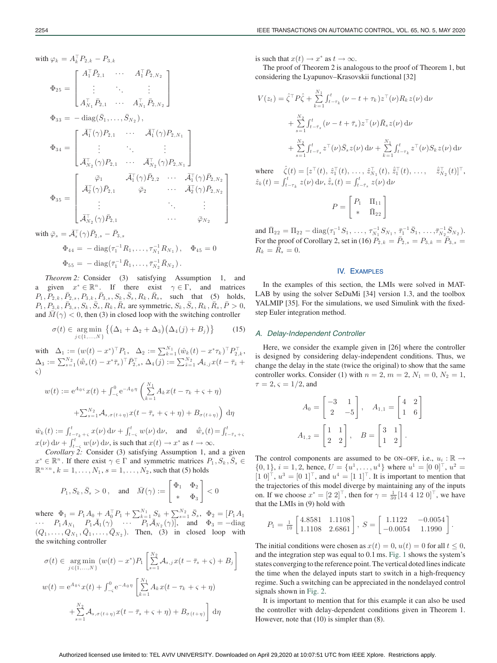with 
$$
\varphi_k = A_k^{\top} P_{2,k} - P_{3,k}
$$
  
\n
$$
\Phi_{25} = \begin{bmatrix}\nA_1^{\top} \bar{P}_{2,1} & \cdots & A_1^{\top} \bar{P}_{2,N_2} \\
\vdots & \ddots & \vdots \\
A_{N_1}^{\top} \bar{P}_{2,1} & \cdots & A_{N_1}^{\top} \bar{P}_{2,N_2}\n\end{bmatrix}
$$
\n
$$
\Phi_{33} = -\operatorname{diag}(\bar{S}_1, \ldots, \bar{S}_{N_2}),
$$
\n
$$
\Phi_{34} = \begin{bmatrix}\n\bar{A}_1^{\top}(\gamma) P_{2,1} & \cdots & \bar{A}_1^{\top}(\gamma) P_{2,N_1} \\
\vdots & \ddots & \vdots \\
\bar{A}_{N_2}^{\top}(\gamma) P_{2,1} & \cdots & \bar{A}_{N_2}^{\top}(\gamma) P_{2,N_1}\n\end{bmatrix}
$$
\n
$$
\Phi_{35} = \begin{bmatrix}\n\bar{\varphi}_1 & \bar{A}_1^{\top}(\gamma) \bar{P}_{2,2} & \cdots & \bar{A}_1^{\top}(\gamma) \bar{P}_{2,N_2} \\
\bar{A}_2^{\top}(\gamma) \bar{P}_{2,1} & \bar{\varphi}_2 & \cdots & \bar{A}_2^{\top}(\gamma) \bar{P}_{2,N_2} \\
\vdots & \ddots & \vdots \\
\bar{A}_{N_2}^{\top}(\gamma) \bar{P}_{2,1} & \cdots & \bar{\varphi}_{N_2}\n\end{bmatrix}
$$

with  $\bar{\varphi}_s = \bar{\mathcal{A}}_s^{\top}(\gamma)\bar{P}_{2,s} - \bar{P}_{3,s}$ 

$$
\Phi_{44} = -\operatorname{diag}(\tau_1^{-1}R_1, \dots, \tau_{N_1}^{-1}R_{N_1}), \quad \Phi_{45} = 0
$$
  

$$
\Phi_{55} = -\operatorname{diag}(\bar{\tau}_1^{-1}\bar{R}_1, \dots, \bar{\tau}_{N_2}^{-1}\bar{R}_{N_2}).
$$

*Theorem 2:* Consider (3) satisfying Assumption 1, and a given  $x^* \in \mathbb{R}^n$ . If there exist  $\gamma \in \Gamma$ , and matrices  $P_1, P_{2,k}, \bar{P}_{2,s}, P_{3,k}, \bar{P}_{3,s}, S_k, \bar{S}_s, R_k, \bar{R}_s$ , such that (5) holds,  $P_1, P_{3,k}, \bar{P}_{3,s}, S_k, \bar{S}_s, R_k, \bar{R}_s$  are symmetric,  $S_k, \bar{S}_s, R_k, \bar{R}_s, \bar{P} > 0$ , and  $\overline{M}(\gamma) < 0$ , then (3) in closed loop with the switching controller

$$
\sigma(t) \in \underset{j \in \{1,\dots,N\}}{\arg \min} \left\{ \left( \Delta_1 + \Delta_2 + \Delta_3 \right) \left( \Delta_4(j) + B_j \right) \right\} \tag{15}
$$

with  $\Delta_1 := (w(t) - x^*)^{\top} P_1, \quad \Delta_2 := \sum_{k=1}^{N_1} (\hat{w}_k(t) - x^* \tau_k)^{\top} P_{2,k}^{\top},$  $\Delta_3 := \sum_{s=1}^{N_2} (\hat{w}_s(t) - x^*\bar{\tau}_s)^\top \bar{P}_{2,s}^\top, \, \Delta_4(j) := \sum_{\tilde{s}=1}^{N_2} \mathcal{A}_{\tilde{s},j} x(t - \bar{\tau}_{\tilde{s}} +$ ς)

$$
w(t) := e^{A_0 \varsigma} x(t) + \int_{-\varsigma}^0 e^{-A_0 \eta} \left( \sum_{k=1}^{N_1} A_k x(t - \tau_k + \varsigma + \eta) + \sum_{s=1}^{N_2} A_{s, \sigma(t+\eta)} x(t - \bar{\tau}_s + \varsigma + \eta) + B_{\sigma(t+\eta)} \right) d\eta
$$

 $\hat{w}_k(t) := \int_{t-\tau_k + \varsigma}^t x(\nu) \, \mathrm{d}\nu + \int_{t-\varsigma}^t w(\nu) \, \mathrm{d}\nu$ , and  $\hat{\bar{w}}_s(t) = \int_{t-\bar{\tau}_s + \varsigma}^t$  $x(\nu) d\nu + \int_{t-\varsigma}^{t} w(\nu) d\nu$ , is such that  $x(t) \to x^*$  as  $t \to \infty$ .

*Corollary 2:* Consider (3) satisfying Assumption 1, and a given  $x^* \in \mathbb{R}^n$ . If there exist  $\gamma \in \Gamma$  and symmetric matrices  $P_1, S_k, \overline{S}_s \in$  $\mathbb{R}^{n \times n}$ ,  $k = 1, \ldots, N_1$ ,  $s = 1, \ldots, N_2$ , such that (5) holds

$$
P_1, S_k, \overline{S}_s > 0
$$
, and  $\overline{M}(\gamma) := \begin{bmatrix} \Phi_1 & \Phi_2 \\ * & \Phi_3 \end{bmatrix} < 0$ 

where  $\Phi_1 = P_1 A_0 + A_0^{\top} P_1 + \sum_{k=1}^{N_1} S_k + \sum_{s=1}^{N_2} \bar{S}_s$ ,  $\Phi_2 = [P_1 A_1]$  $\cdots$   $P_1A_{N_1}$   $P_1\bar{\mathcal{A}}_1(\gamma)$   $\cdots$   $P_1\bar{\mathcal{A}}_{N_2}(\gamma)$ , and  $\Phi_3 = -\text{diag}$  $(Q_1, \ldots, Q_{N_1}, \overline{Q}_1, \ldots, \overline{Q}_{N_2})$ . Then, (3) in closed loop with the switching controller

$$
\sigma(t) \in \underset{j \in \{1, ..., N\}}{\arg \min} (w(t) - x^*) P_1 \left[ \sum_{s=1}^{N_2} A_{s,j} x(t - \bar{\tau}_s + \varsigma) + B_j \right]
$$
  

$$
w(t) = e^{A_0 \varsigma} x(t) + \int_{-\varsigma}^{0} e^{-A_0 \eta} \left[ \sum_{k=1}^{N_1} A_k x(t - \tau_k + \varsigma + \eta) + \sum_{s=1}^{N_2} A_{s,\sigma(t+\eta)} x(t - \bar{\tau}_s + \varsigma + \eta) + B_{\sigma(t+\eta)} \right] d\eta
$$

is such that  $x(t) \to x^*$  as  $t \to \infty$ .

The proof of Theorem 2 is analogous to the proof of Theorem 1, but considering the Lyapunov–Krasovskii functional [32]

$$
V(z_t) = \hat{\zeta}^\top P \hat{\zeta} + \sum_{k=1}^{N_1} \int_{t-\tau_k}^t (\nu - t + \tau_k) z^\top(\nu) R_k z(\nu) d\nu
$$
  
+ 
$$
\sum_{s=1}^{N_2} \int_{t-\bar{\tau}_s}^t (\nu - t + \bar{\tau}_s) z^\top(\nu) \bar{R}_s z(\nu) d\nu
$$
  
+ 
$$
\sum_{s=1}^{N_2} \int_{t-\bar{\tau}_s}^t z^\top(\nu) \bar{S}_s z(\nu) d\nu + \sum_{k=1}^{N_1} \int_{t-\tau_k}^t z^\top(\nu) S_k z(\nu) d\nu
$$

where  $\hat{\zeta}(t) = [z^{\top}(t), \hat{z}_1^{\top}(t), \dots, \hat{z}_{N_1}^{\top}(t), \hat{z}_1^{\top}(t), \dots, \hat{z}_{N_2}^{\top}(t)]^{\top}$ ,  $\hat{z}_k(t) = \int_{t-\tau_k}^t z(\nu) \, d\nu, \, \hat{\bar{z}}_s(t) = \int_{t-\bar{\tau}_s}^t z(\nu) \, d\nu$ 

$$
P = \begin{bmatrix} P_1 & \Pi_{11} \\ * & \Pi_{22} \end{bmatrix}
$$

and  $\bar{\Pi}_{22} = \Pi_{22} - \text{diag}(\tau_1^{-1}S_1, \ldots, \tau_{N_1}^{-1}S_{N_1}, \bar{\tau}_1^{-1}\bar{S}_1, \ldots, \bar{\tau}_{N_2}^{-1}\bar{S}_{N_2}).$ For the proof of Corollary 2, set in (16)  $P_{2,k} = \bar{P}_{2,s} = P_{3,k} = \bar{P}_{3,s}$  $R_k = \overline{R}_s = 0.$ 

#### IV. EXAMPLES

In the examples of this section, the LMIs were solved in MAT-LAB by using the solver SeDuMi [34] version 1.3, and the toolbox YALMIP [35]. For the simulations, we used Simulink with the fixedstep Euler integration method.

#### *A. Delay-Independent Controller*

Here, we consider the example given in [26] where the controller is designed by considering delay-independent conditions. Thus, we change the delay in the state (twice the original) to show that the same controller works. Consider (1) with  $n = 2$ ,  $m = 2$ ,  $N_1 = 0$ ,  $N_2 = 1$ ,  $\tau = 2$ ,  $\varsigma = 1/2$ , and

$$
A_0 = \begin{bmatrix} -3 & 1 \\ 2 & -5 \end{bmatrix}, \quad A_{1,1} = \begin{bmatrix} 4 & 2 \\ 1 & 6 \end{bmatrix}
$$

$$
A_{1,2} = \begin{bmatrix} 1 & 1 \\ 2 & 2 \end{bmatrix}, \quad B = \begin{bmatrix} 3 & 1 \\ 1 & 2 \end{bmatrix}.
$$

The control components are assumed to be ON–OFF, i.e.,  $u_i : \mathbb{R} \to$  $\{0, 1\}, i = 1, 2$ , hence,  $U = \{u^1, \ldots, u^4\}$  where  $u^1 = [0 \ 0]^T$ ,  $u^2 =$  $[1\ 0]^{\top}$ ,  $u^3 = [0\ 1]^{\top}$ , and  $u^4 = [1\ 1]^{\top}$ . It is important to mention that the trajectories of this model diverge by maintaining any of the inputs on. If we choose  $x^* = [2 \ 2]^{\top}$ , then for  $\gamma = \frac{1}{30} [14 \ 4 \ 12 \ 0]^{\top}$ , we have that the LMIs in (9) hold with

$$
P_1 = \frac{1}{10} \begin{bmatrix} 4.8581 & 1.1108 \\ 1.1108 & 2.6861 \end{bmatrix}, S = \begin{bmatrix} 1.1122 & -0.0054 \\ -0.0054 & 1.1990 \end{bmatrix}.
$$

The initial conditions were chosen as  $x(t)=0$ ,  $u(t)=0$  for all  $t \le 0$ , and the integration step was equal to 0.1 ms. Fig. 1 shows the system's states converging to the reference point. The vertical doted lines indicate the time when the delayed inputs start to switch in a high-frequency regime. Such a switching can be appreciated in the nondelayed control signals shown in Fig. 2.

It is important to mention that for this example it can also be used the controller with delay-dependent conditions given in Theorem 1. However, note that (10) is simpler than (8).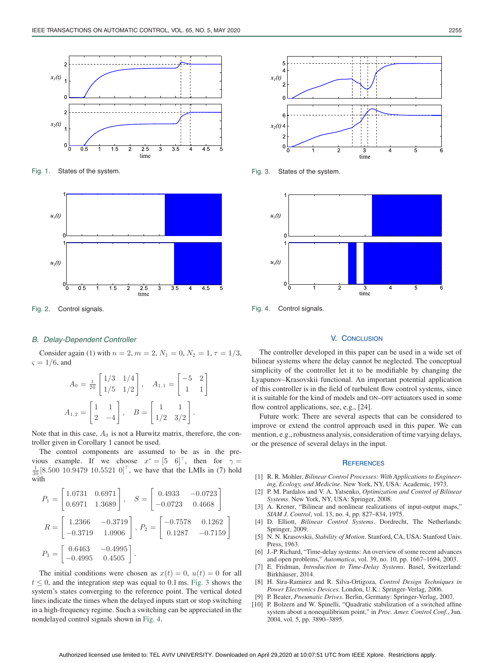

Fig. 1. States of the system.



Fig. 2. Control signals.

## *B. Delay-Dependent Controller*

Consider again (1) with  $n = 2$ ,  $m = 2$ ,  $N_1 = 0$ ,  $N_2 = 1$ ,  $\tau = 1/3$ ,  $\varsigma = 1/6$ , and

$$
A_0 = \frac{1}{20} \begin{bmatrix} 1/3 & 1/4 \\ 1/5 & 1/2 \end{bmatrix}, \quad A_{1,1} = \begin{bmatrix} -5 & 2 \\ 1 & 1 \end{bmatrix}
$$

$$
A_{1,2} = \begin{bmatrix} 1 & 1 \\ 2 & -4 \end{bmatrix}, \quad B = \begin{bmatrix} 1 & 1 \\ 1/2 & 3/2 \end{bmatrix}.
$$

Note that in this case,  $A_0$  is not a Hurwitz matrix, therefore, the controller given in Corollary 1 cannot be used.

The control components are assumed to be as in the previous example. If we choose  $x^* = \begin{bmatrix} 5 & 6 \end{bmatrix}^\top$ , then for  $\gamma =$  $\frac{1}{30}$ [8.500 10.9479 10.5521 0]<sup>T</sup>, we have that the LMIs in (7) hold with

$$
P_1 = \begin{bmatrix} 1.0731 & 0.6971 \\ 0.6971 & 1.3689 \end{bmatrix}, \quad S = \begin{bmatrix} 0.4933 & -0.0723 \\ -0.0723 & 0.4668 \end{bmatrix}
$$

$$
R = \begin{bmatrix} 1.2366 & -0.3719 \\ -0.3719 & 1.0906 \end{bmatrix}, P_2 = \begin{bmatrix} -0.7578 & 0.1262 \\ 0.1287 & -0.7159 \end{bmatrix}
$$

$$
P_3 = \begin{bmatrix} 0.6463 & -0.4995 \\ -0.4995 & 0.4505 \end{bmatrix}.
$$

The initial conditions were chosen as  $x(t)=0$ ,  $u(t)=0$  for all  $t \leq 0$ , and the integration step was equal to 0.1 ms. Fig. 3 shows the system's states converging to the reference point. The vertical doted lines indicate the times when the delayed inputs start or stop switching in a high-frequency regime. Such a switching can be appreciated in the nondelayed control signals shown in Fig. 4.



Fig. 3. States of the system.



Fig. 4. Control signals.

#### V. CONCLUSION

The controller developed in this paper can be used in a wide set of bilinear systems where the delay cannot be neglected. The conceptual simplicity of the controller let it to be modifiable by changing the Lyapunov–Krasovskii functional. An important potential application of this controller is in the field of turbulent flow control systems, since it is suitable for the kind of models and ON–OFF actuators used in some flow control applications, see, e.g., [24].

Future work: There are several aspects that can be considered to improve or extend the control approach used in this paper. We can mention, e.g., robustness analysis, consideration of time varying delays, or the presence of several delays in the input.

## **REFERENCES**

- [1] R. R. Mohler, *Bilinear Control Processes: With Applications to Engineering, Ecology, and Medicine*. New York, NY, USA: Academic, 1973.
- [2] P. M. Pardalos and V. A. Yatsenko, *Optimization and Control of Bilinear Systems*. New York, NY, USA: Springer, 2008.
- [3] A. Krener, "Bilinear and nonlinear realizations of input-output maps," *SIAM J. Control*, vol. 13, no. 4, pp. 827–834, 1975.
- [4] D. Elliott, *Bilinear Control Systems*. Dordrecht, The Netherlands: Springer, 2009.
- [5] N. N. Krasovskii, *Stability of Motion*. Stanford, CA, USA: Stanford Univ. Press, 1963.
- [6] J.-P. Richard, "Time-delay systems: An overview of some recent advances and open problems," *Automatica*, vol. 39, no. 10, pp. 1667–1694, 2003.
- [7] E. Fridman, *Introduction to Time-Delay Systems*. Basel, Switzerland: Birkhäuser, 2014.
- [8] H. Sira-Ramirez and R. Silva-Ortigoza, *Control Design Techniques in Power Electronics Devices*. London, U.K.: Springer-Verlag, 2006.
- [9] P. Beater, *Pneumatic Drives*. Berlin, Germany: Springer-Verlag, 2007.
- [10] P. Bolzern and W. Spinelli, "Quadratic stabilization of a switched affine system about a nonequilibrium point," in *Proc. Amer. Control Conf.*, Jun. 2004, vol. 5, pp. 3890–3895.